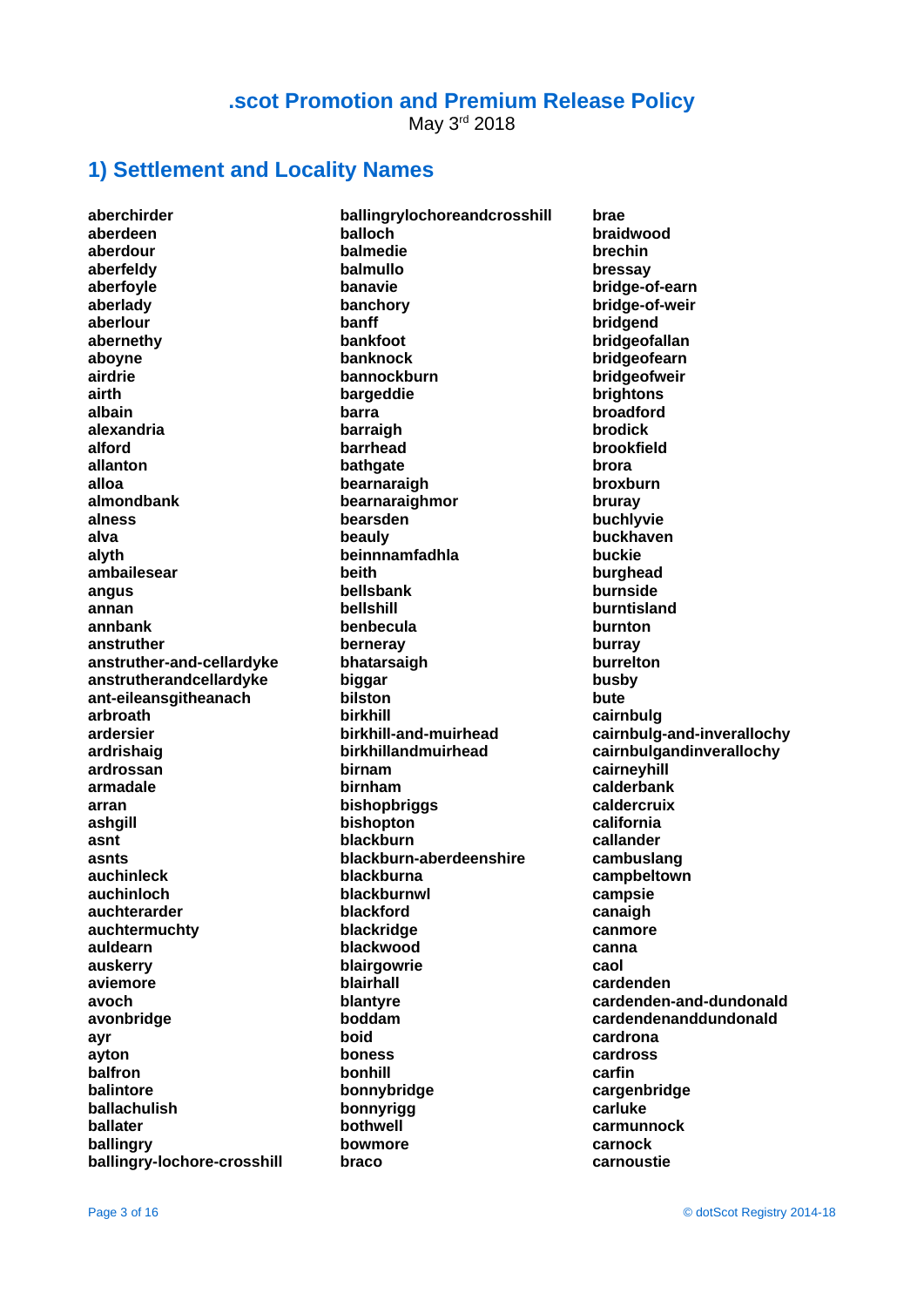May 3rd 2018

#### **1) Settlement and Locality Names**

**aberchirder aberdeen aberdour aberfeldy aberfoyle aberlady aberlour abernethy aboyne airdrie airth albain alexandria alford allanton alloa almondbank alness alva alyth ambailesear angus annan annbank anstruther anstruther-and-cellardyke anstrutherandcellardyke ant-eileansgitheanach arbroath ardersier ardrishaig ardrossan armadale arran ashgill asnt asnts auchinleck auchinloch auchterarder auchtermuchty auldearn auskerry aviemore avoch avonbridge ayr ayton balfron balintore ballachulish ballater ballingry ballingry-lochore-crosshill**

**ballingrylochoreandcrosshill balloch balmedie balmullo banavie banchory banff bankfoot banknock bannockburn bargeddie barra barraigh barrhead bathgate bearnaraigh bearnaraighmor bearsden beauly beinnnamfadhla beith bellsbank bellshill benbecula berneray bhatarsaigh biggar bilston birkhill birkhill-and-muirhead birkhillandmuirhead birnam birnham bishopbriggs bishopton blackburn blackburn-aberdeenshire blackburna blackburnwl blackford blackridge blackwood blairgowrie blairhall blantyre boddam boid boness bonhill bonnybridge bonnyrigg bothwell bowmore braco**

**brae braidwood brechin bressay bridge-of-earn bridge-of-weir bridgend bridgeofallan bridgeofearn bridgeofweir brightons broadford brodick brookfield brora broxburn bruray buchlyvie buckhaven buckie burghead burnside burntisland burnton burray burrelton busby bute cairnbulg cairnbulg-and-inverallochy cairnbulgandinverallochy cairneyhill calderbank caldercruix california callander cambuslang campbeltown campsie canaigh canmore canna caol cardenden cardenden-and-dundonald cardendenanddundonald cardrona cardross carfin cargenbridge carluke carmunnock carnock carnoustie**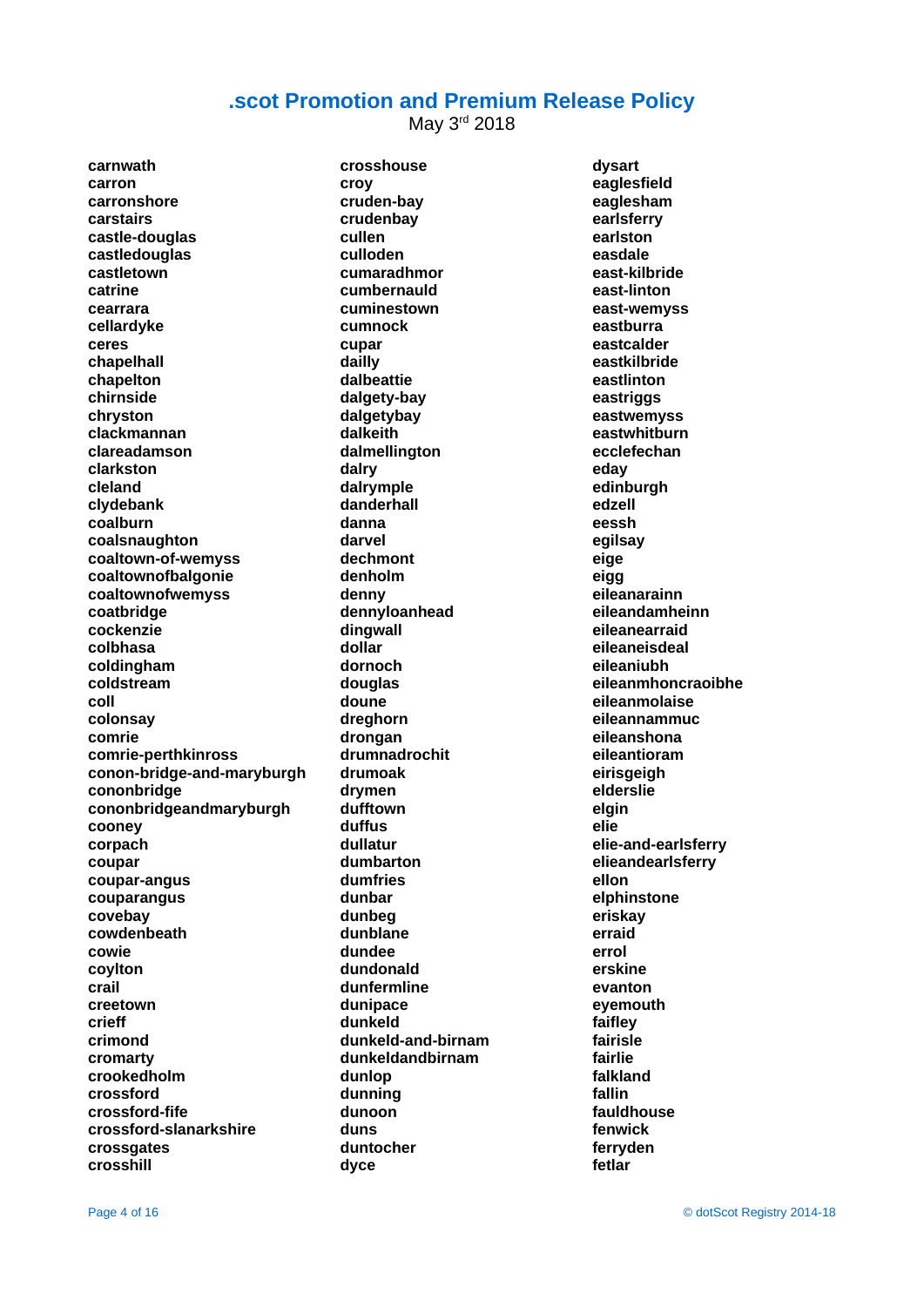May 3rd 2018

**carnwath carron carronshore carstairs castle-douglas castledouglas castletown catrine cearrara cellardyke ceres chapelhall chapelton chirnside chryston clackmannan clareadamson clarkston cleland clydebank coalburn coalsnaughton coaltown-of-wemyss coaltownofbalgonie coaltownofwemyss coatbridge cockenzie colbhasa coldingham coldstream coll colonsay comrie comrie-perthkinross conon-bridge-and-maryburgh cononbridge cononbridgeandmaryburgh cooney corpach coupar coupar-angus couparangus covebay cowdenbeath cowie coylton crail creetown crieff crimond cromarty crookedholm crossford crossford-fife crossford-slanarkshire crossgates crosshill**

**crosshouse croy cruden-bay crudenbay cullen culloden cumaradhmor cumbernauld cuminestown cumnock cupar dailly dalbeattie dalgety-bay dalgetybay dalkeith dalmellington dalry dalrymple danderhall danna darvel dechmont denholm denny dennyloanhead dingwall dollar dornoch douglas doune dreghorn drongan drumnadrochit drumoak drymen dufftown duffus dullatur dumbarton dumfries dunbar dunbeg dunblane dundee dundonald dunfermline dunipace dunkeld dunkeld-and-birnam dunkeldandbirnam dunlop dunning dunoon duns duntocher dyce**

**dysart eaglesfield eaglesham earlsferry earlston easdale east-kilbride east-linton east-wemyss eastburra eastcalder eastkilbride eastlinton eastriggs eastwemyss eastwhitburn ecclefechan eday edinburgh edzell eessh egilsay eige eigg eileanarainn eileandamheinn eileanearraid eileaneisdeal eileaniubh eileanmhoncraoibhe eileanmolaise eileannammuc eileanshona eileantioram eirisgeigh elderslie elgin elie elie-and-earlsferry elieandearlsferry ellon elphinstone eriskay erraid errol erskine evanton eyemouth faifley fairisle fairlie falkland fallin fauldhouse fenwick ferryden fetlar**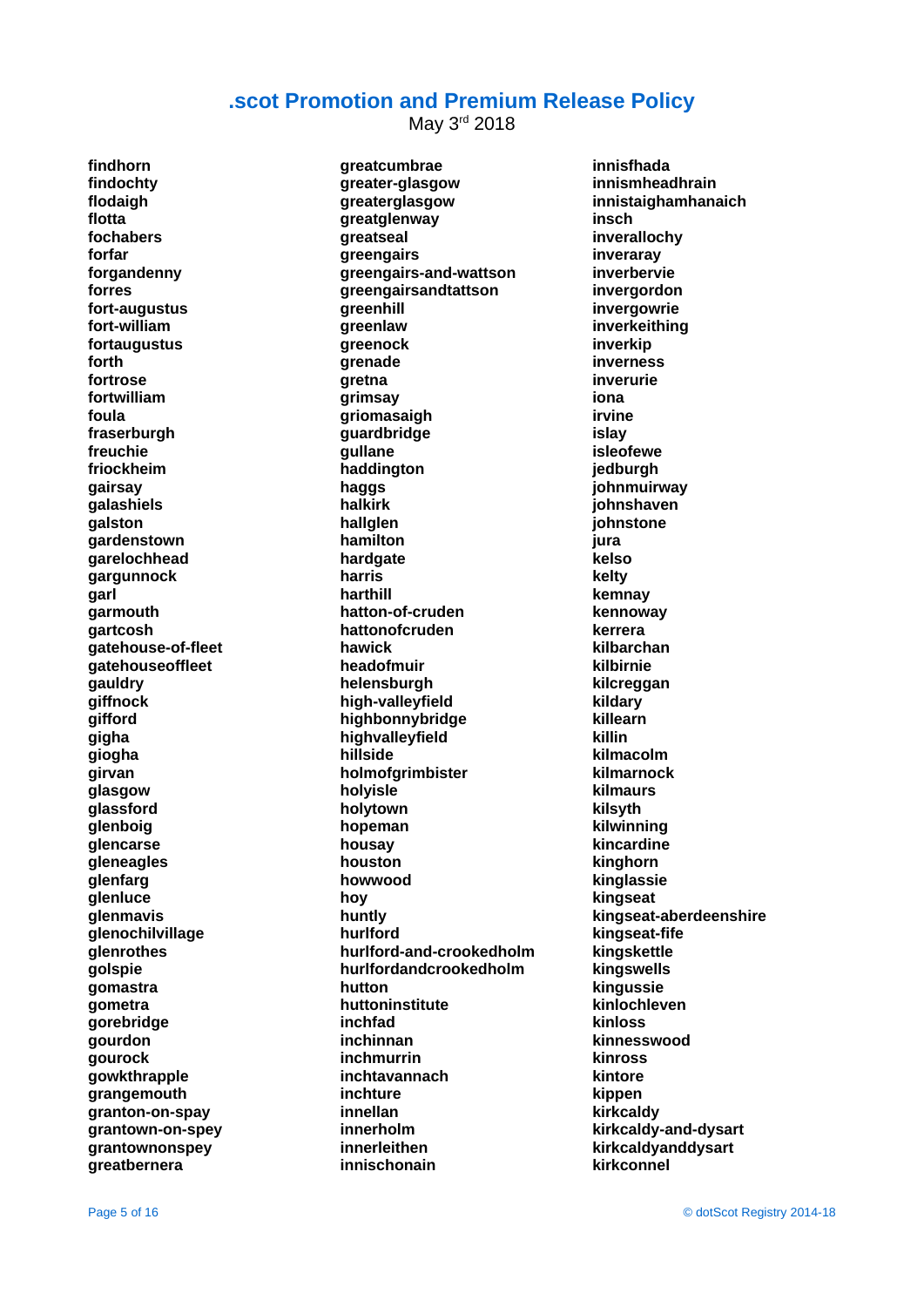May 3rd 2018

**findhorn findochty flodaigh flotta fochabers forfar forgandenny forres fort-augustus fort-william fortaugustus forth fortrose fortwilliam foula fraserburgh freuchie friockheim gairsay galashiels galston gardenstown garelochhead gargunnock garl garmouth gartcosh gatehouse-of-fleet gatehouseoffleet gauldry giffnock gifford gigha giogha girvan glasgow glassford glenboig glencarse gleneagles glenfarg glenluce glenmavis glenochilvillage glenrothes golspie gomastra gometra gorebridge gourdon gourock gowkthrapple grangemouth granton-on-spay grantown-on-spey grantownonspey greatbernera**

**greatcumbrae greater-glasgow greaterglasgow greatglenway greatseal greengairs greengairs-and-wattson greengairsandtattson greenhill greenlaw greenock grenade gretna grimsay griomasaigh guardbridge gullane haddington haggs halkirk hallglen hamilton hardgate harris harthill hatton-of-cruden hattonofcruden hawick headofmuir helensburgh high-valleyfield highbonnybridge highvalleyfield hillside holmofgrimbister holyisle holytown hopeman housay houston howwood hoy huntly hurlford hurlford-and-crookedholm hurlfordandcrookedholm hutton huttoninstitute inchfad inchinnan inchmurrin inchtavannach inchture innellan innerholm innerleithen innischonain**

**innisfhada innismheadhrain innistaighamhanaich insch inverallochy inveraray inverbervie invergordon invergowrie inverkeithing inverkip inverness inverurie iona irvine islay isleofewe jedburgh johnmuirway johnshaven johnstone jura kelso kelty kemnay kennoway kerrera kilbarchan kilbirnie kilcreggan kildary killearn killin kilmacolm kilmarnock kilmaurs kilsyth kilwinning kincardine kinghorn kinglassie kingseat kingseat-aberdeenshire kingseat-fife kingskettle kingswells kingussie kinlochleven kinloss kinnesswood kinross kintore kippen kirkcaldy kirkcaldy-and-dysart kirkcaldyanddysart kirkconnel**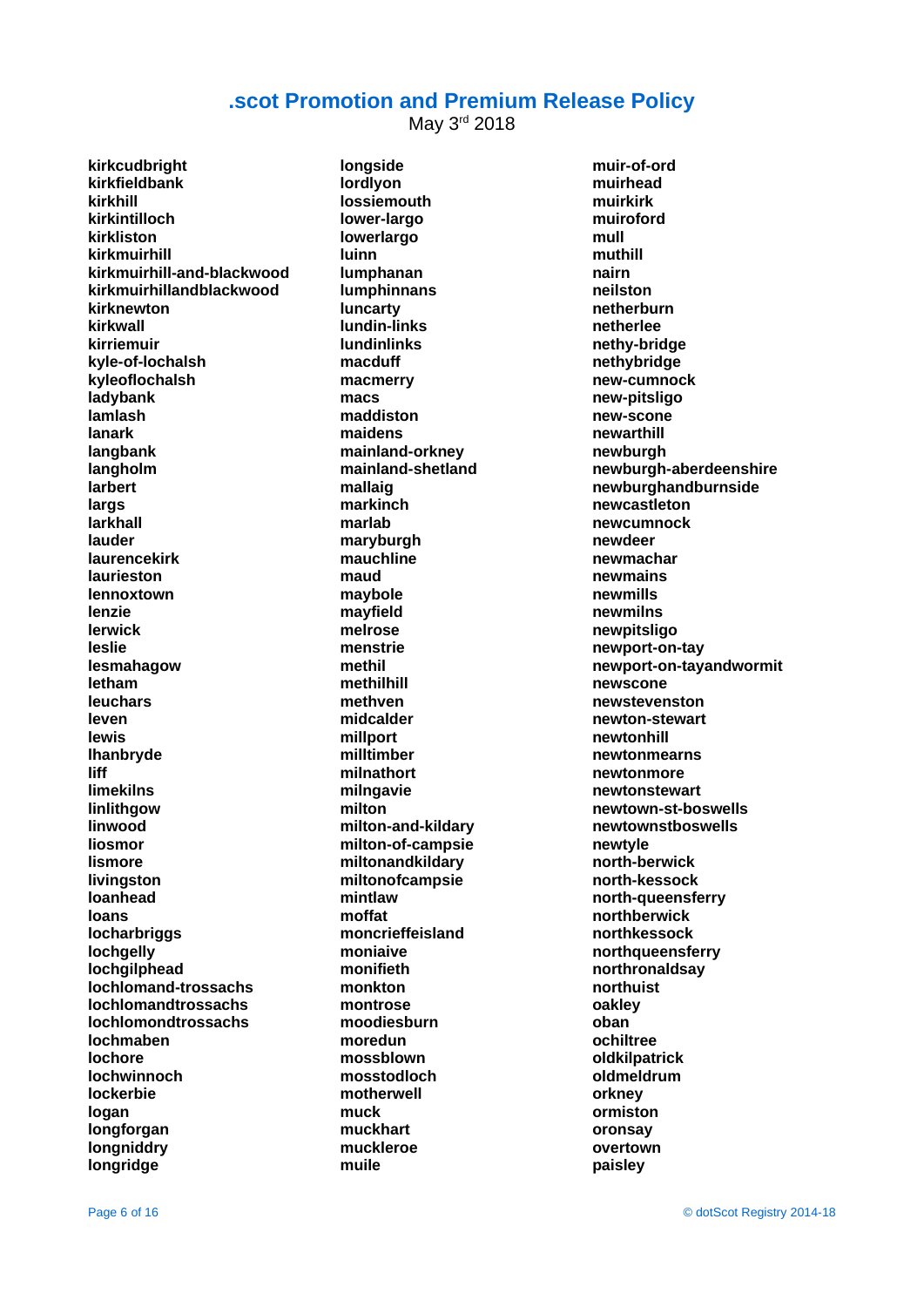May 3rd 2018

**kirkcudbright kirkfieldbank kirkhill kirkintilloch kirkliston kirkmuirhill kirkmuirhill-and-blackwood kirkmuirhillandblackwood kirknewton kirkwall kirriemuir kyle-of-lochalsh kyleoflochalsh ladybank lamlash lanark langbank langholm larbert largs larkhall lauder laurencekirk laurieston lennoxtown lenzie lerwick leslie lesmahagow letham leuchars leven lewis lhanbryde liff limekilns linlithgow linwood liosmor lismore livingston loanhead loans locharbriggs lochgelly lochgilphead lochlomand-trossachs lochlomandtrossachs lochlomondtrossachs lochmaben lochore lochwinnoch lockerbie logan longforgan longniddry longridge**

**longside lordlyon lossiemouth lower-largo lowerlargo luinn lumphanan lumphinnans luncarty lundin-links lundinlinks macduff macmerry macs maddiston maidens mainland-orkney mainland-shetland mallaig markinch marlab maryburgh mauchline maud maybole mayfield melrose menstrie methil methilhill methven midcalder millport milltimber milnathort milngavie milton milton-and-kildary milton-of-campsie miltonandkildary miltonofcampsie mintlaw moffat moncrieffeisland moniaive monifieth monkton montrose moodiesburn moredun mossblown mosstodloch motherwell muck muckhart muckleroe muile**

**muir-of-ord muirhead muirkirk muiroford mull muthill nairn neilston netherburn netherlee nethy-bridge nethybridge new-cumnock new-pitsligo new-scone newarthill newburgh newburgh-aberdeenshire newburghandburnside newcastleton newcumnock newdeer newmachar newmains newmills newmilns newpitsligo newport-on-tay newport-on-tayandwormit newscone newstevenston newton-stewart newtonhill newtonmearns newtonmore newtonstewart newtown-st-boswells newtownstboswells newtyle north-berwick north-kessock north-queensferry northberwick northkessock northqueensferry northronaldsay northuist oakley oban ochiltree oldkilpatrick oldmeldrum orkney ormiston oronsay overtown paisley**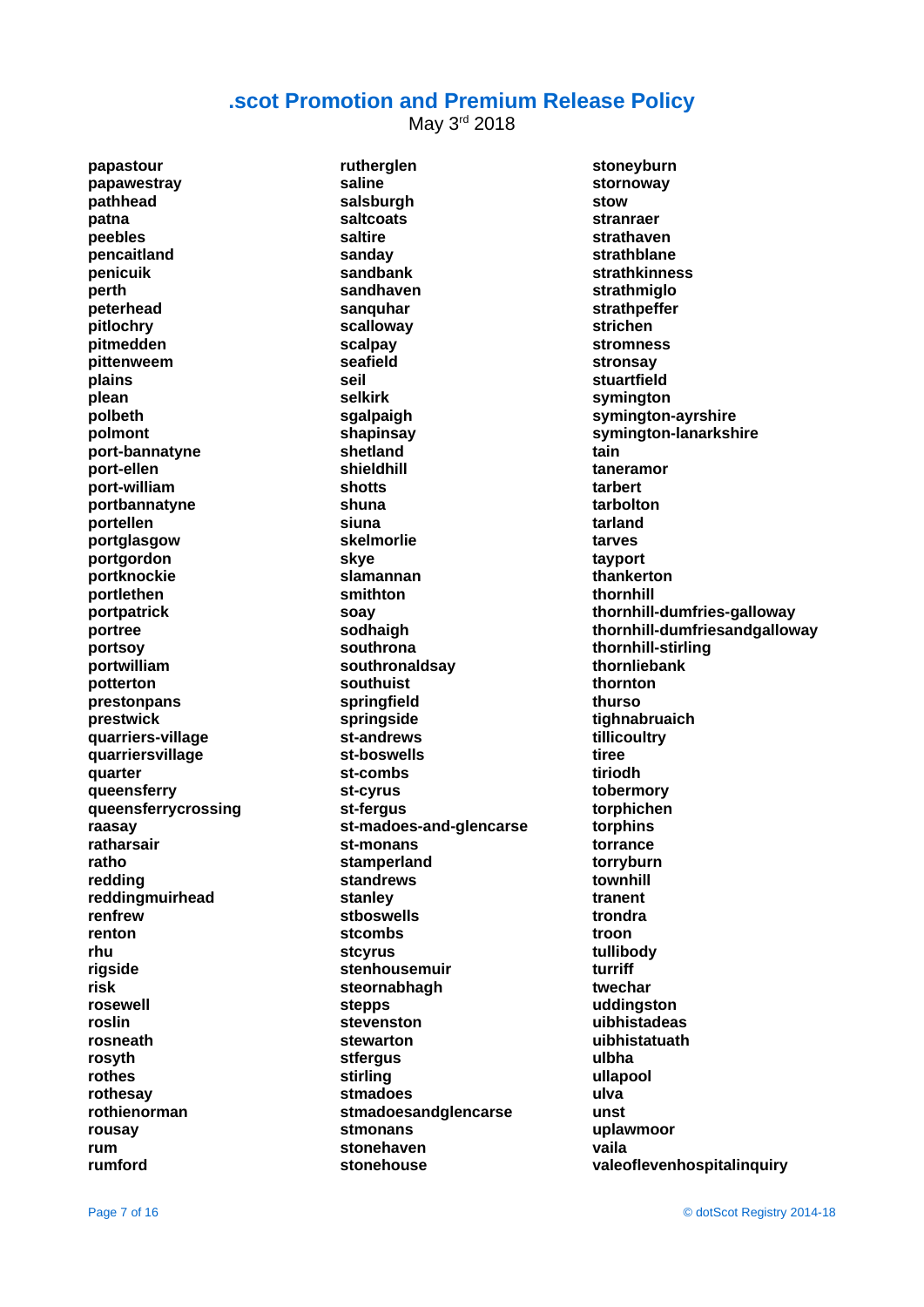May 3rd 2018

**papastour papawestray pathhead patna peebles pencaitland penicuik perth peterhead pitlochry pitmedden pittenweem plains plean polbeth polmont port-bannatyne port-ellen port-william portbannatyne portellen portglasgow portgordon portknockie portlethen portpatrick portree portsoy portwilliam potterton prestonpans prestwick quarriers-village quarriersvillage quarter queensferry queensferrycrossing raasay ratharsair ratho redding reddingmuirhead renfrew renton rhu rigside risk rosewell roslin rosneath rosyth rothes rothesay rothienorman rousay rum rumford**

**rutherglen saline salsburgh saltcoats saltire sanday sandbank sandhaven sanquhar scalloway scalpay seafield seil selkirk sgalpaigh shapinsay shetland shieldhill shotts shuna siuna skelmorlie skye slamannan smithton soay sodhaigh southrona southronaldsay southuist springfield springside st-andrews st-boswells st-combs st-cyrus st-fergus st-madoes-and-glencarse st-monans stamperland standrews stanley stboswells stcombs stcyrus stenhousemuir steornabhagh stepps stevenston stewarton stfergus stirling stmadoes stmadoesandglencarse stmonans stonehaven stonehouse**

**stoneyburn stornoway stow stranraer strathaven strathblane strathkinness strathmiglo strathpeffer strichen stromness stronsay stuartfield symington symington-ayrshire symington-lanarkshire tain taneramor tarbert tarbolton tarland tarves tayport thankerton thornhill thornhill-dumfries-galloway thornhill-dumfriesandgalloway thornhill-stirling thornliebank thornton thurso tighnabruaich tillicoultry tiree tiriodh tobermory torphichen torphins torrance torryburn townhill tranent trondra troon tullibody turriff twechar uddingston uibhistadeas uibhistatuath ulbha ullapool ulva unst uplawmoor vaila valeoflevenhospitalinquiry**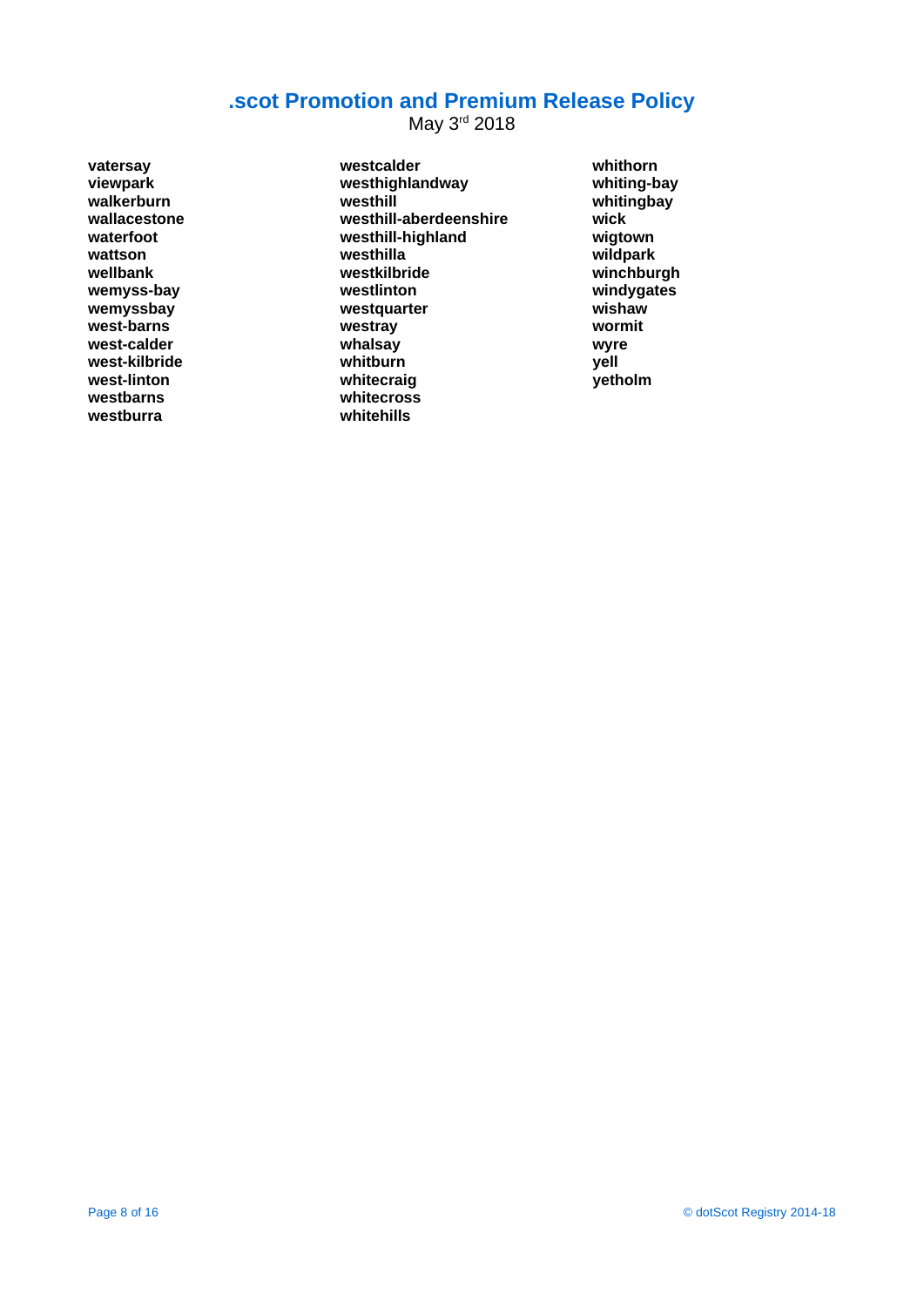May 3<sup>rd</sup> 2018

**vatersay viewpark walkerburn wallacestone waterfoot wattson wellbank wemyss-bay wemyssbay west-barns west-calder west-kilbride west-linton westbarns westburra**

**westcalder westhighlandway westhill westhill-aberdeenshire westhill-highland westhilla westkilbride westlinton westquarter westray whalsay whitburn whitecraig whitecross whitehills**

**whithorn whiting-bay whitingbay wick wigtown wildpark winchburgh windygates wishaw wormit wyre yell yetholm**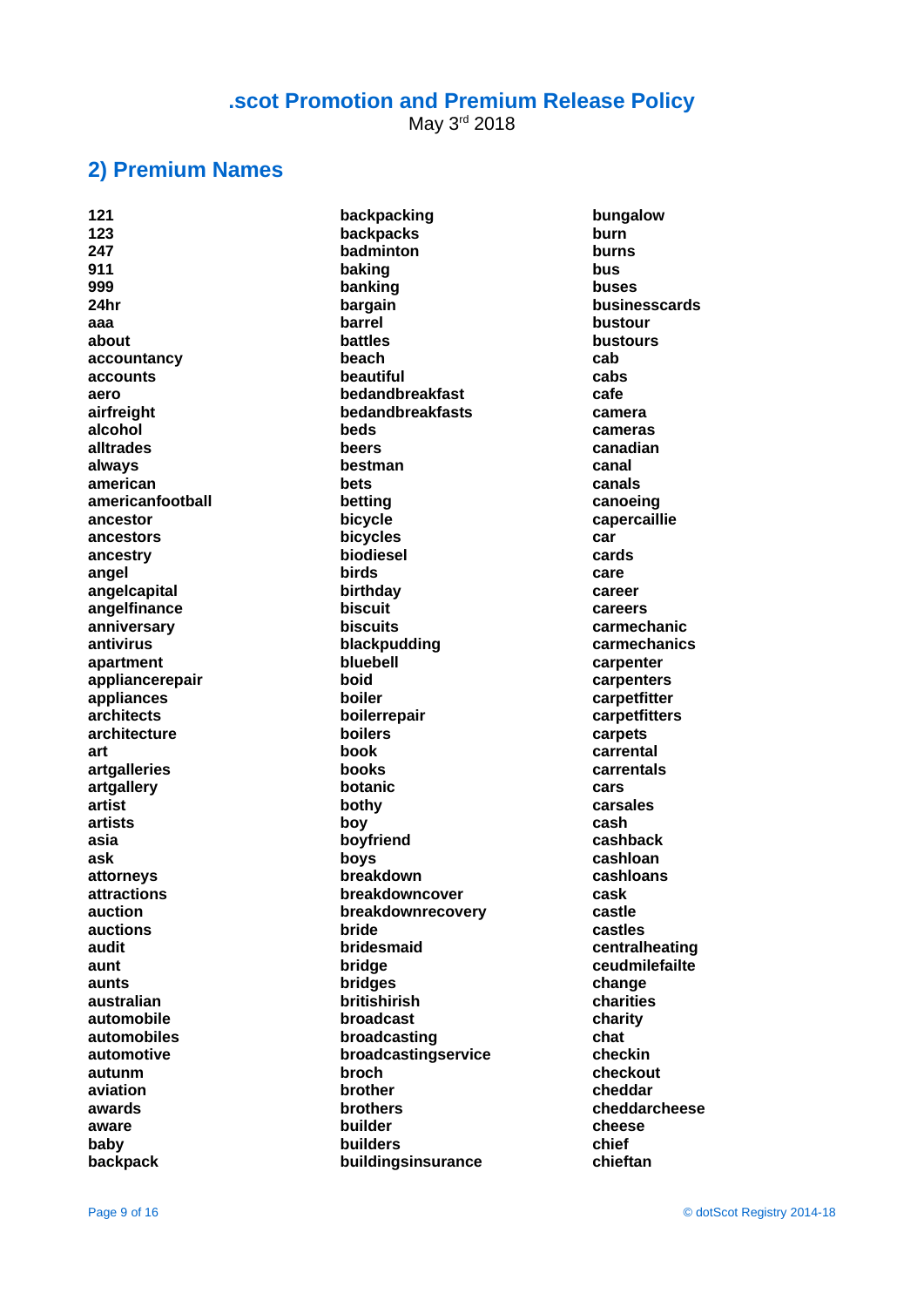May 3rd 2018

#### **2) Premium Names**

**121 123 247 911 999 24hr aaa about accountancy accounts aero airfreight alcohol alltrades always american americanfootball ancestor ancestors ancestry angel angelcapital angelfinance anniversary antivirus apartment appliancerepair appliances architects architecture art artgalleries artgallery artist artists asia ask attorneys attractions auction auctions audit aunt aunts australian automobile automobiles automotive autunm aviation awards aware baby backpack**

**backpacking backpacks badminton baking banking bargain barrel battles beach beautiful bedandbreakfast bedandbreakfasts beds beers bestman bets betting bicycle bicycles biodiesel birds birthday biscuit biscuits blackpudding bluebell boid boiler boilerrepair boilers book books botanic bothy boy boyfriend boys breakdown breakdowncover breakdownrecovery bride bridesmaid bridge bridges britishirish broadcast broadcasting broadcastingservice broch brother brothers builder builders buildingsinsurance**

**bungalow burn burns bus buses businesscards bustour bustours cab cabs cafe camera cameras canadian canal canals canoeing capercaillie car cards care career careers carmechanic carmechanics carpenter carpenters carpetfitter carpetfitters carpets carrental carrentals cars carsales cash cashback cashloan cashloans cask castle castles centralheating ceudmilefailte change charities charity chat checkin checkout cheddar cheddarcheese cheese chief chieftan**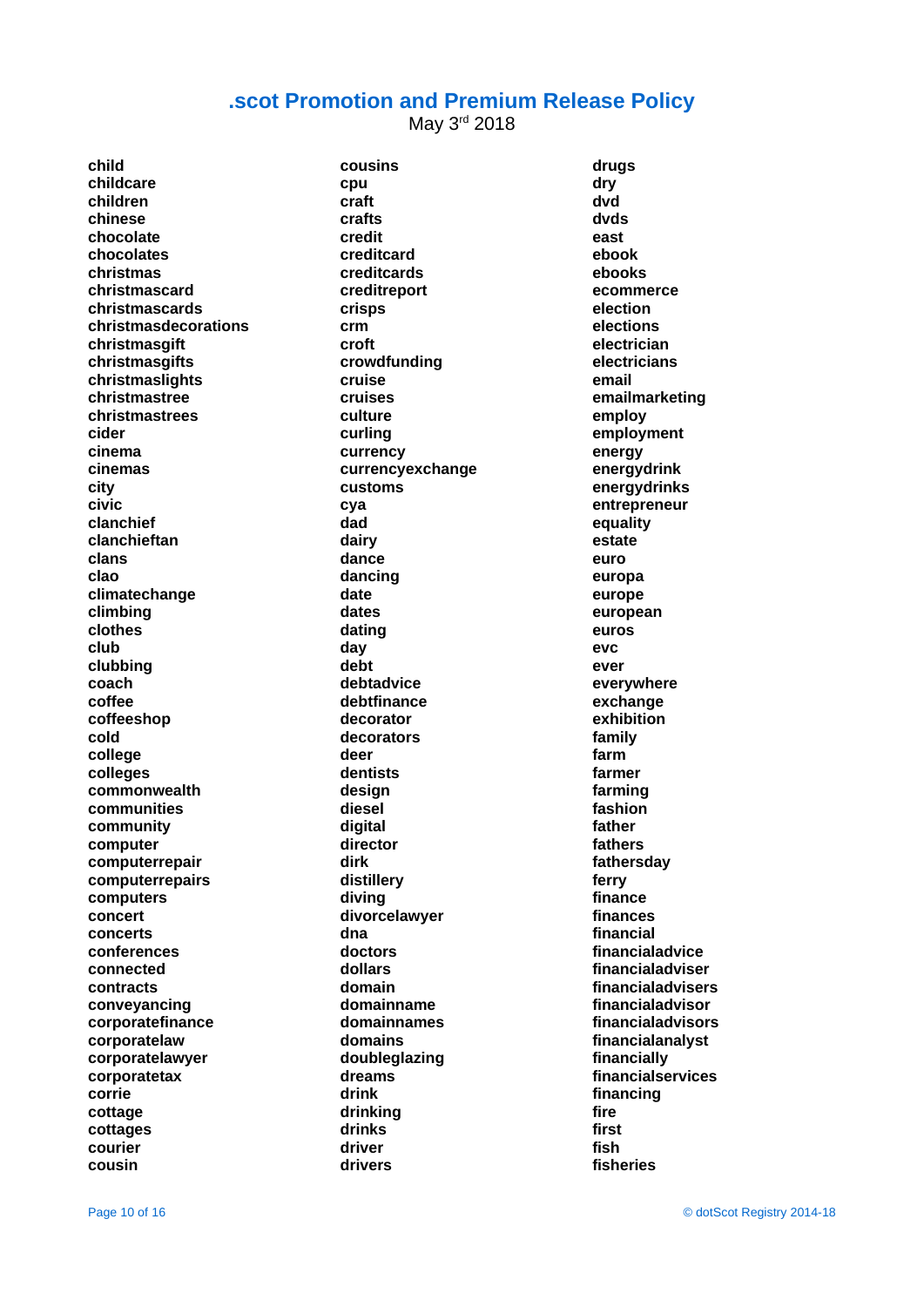May 3rd 2018

**child childcare children chinese chocolate chocolates christmas christmascard christmascards christmasdecorations christmasgift christmasgifts christmaslights christmastree christmastrees cider cinema cinemas city civic clanchief clanchieftan clans clao climatechange climbing clothes club clubbing coach coffee coffeeshop cold college colleges commonwealth communities community computer computerrepair computerrepairs computers concert concerts conferences connected contracts conveyancing corporatefinance corporatelaw corporatelawyer corporatetax corrie cottage cottages courier cousin**

**cousins cpu craft crafts credit creditcard creditcards creditreport crisps crm croft crowdfunding cruise cruises culture curling currency currencyexchange customs cya dad dairy dance dancing date dates dating day debt debtadvice debtfinance decorator decorators deer dentists design diesel digital director dirk distillery diving divorcelawyer dna doctors dollars domain domainname domainnames domains doubleglazing dreams drink drinking drinks driver drivers**

**drugs dry dvd dvds east ebook ebooks ecommerce election elections electrician electricians email emailmarketing employ employment energy energydrink energydrinks entrepreneur equality estate euro europa europe european euros evc ever everywhere exchange exhibition family farm farmer farming fashion father fathers fathersday ferry finance finances financial financialadvice financialadviser financialadvisers financialadvisor financialadvisors financialanalyst financially financialservices financing fire first fish fisheries**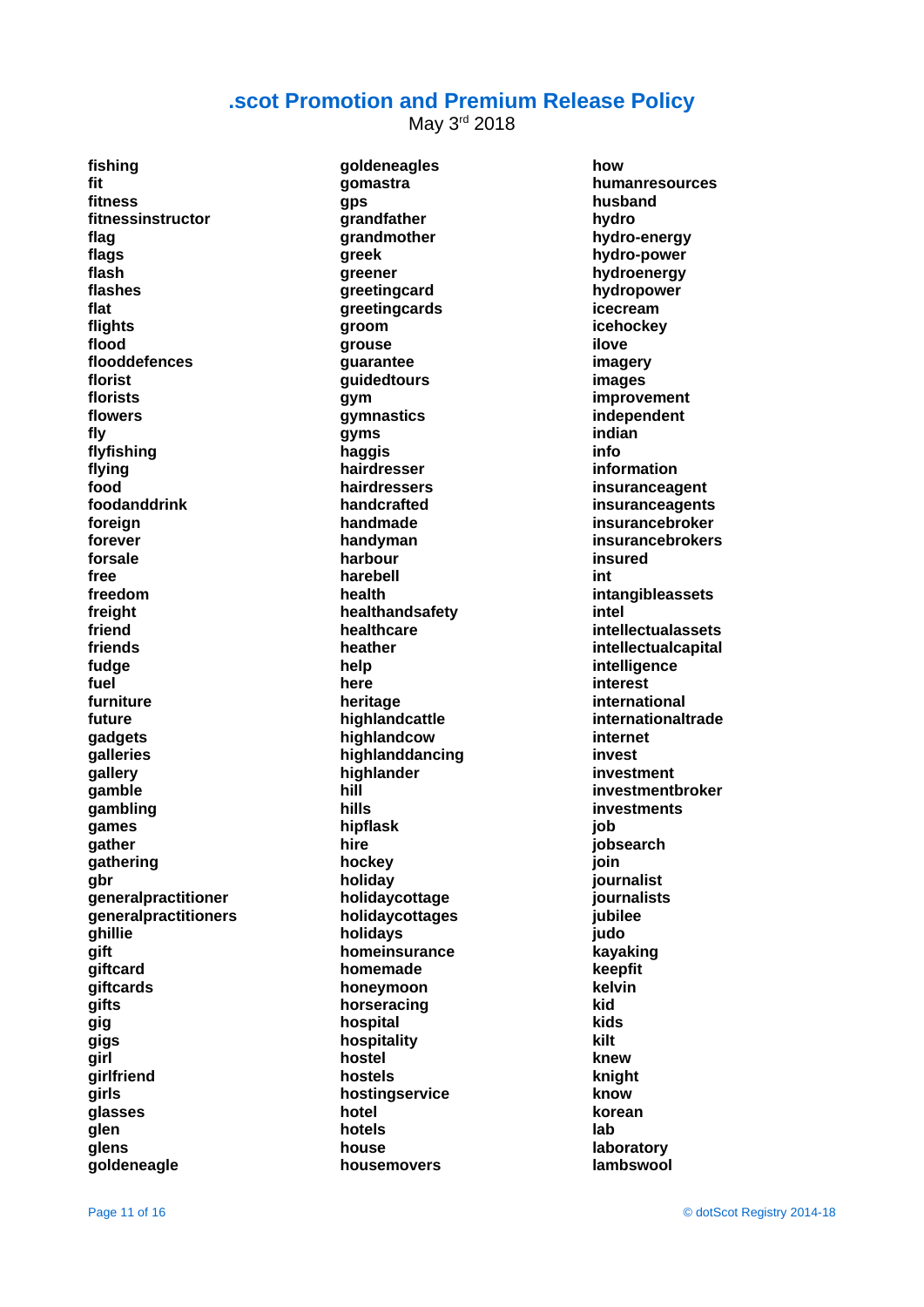May 3rd 2018

**fishing fit fitness fitnessinstructor flag flags flash flashes flat flights flood flooddefences florist florists flowers fly flyfishing flying food foodanddrink foreign forever forsale free freedom freight friend friends fudge fuel furniture future gadgets galleries gallery gamble gambling games gather gathering gbr generalpractitioner generalpractitioners ghillie gift giftcard giftcards gifts gig gigs girl girlfriend girls glasses glen glens goldeneagle**

**goldeneagles gomastra gps grandfather grandmother greek greener greetingcard greetingcards groom grouse guarantee guidedtours gym gymnastics gyms haggis hairdresser hairdressers handcrafted handmade handyman harbour harebell health healthandsafety healthcare heather help here heritage highlandcattle highlandcow highlanddancing highlander hill hills hipflask hire hockey holiday holidaycottage holidaycottages holidays homeinsurance homemade honeymoon horseracing hospital hospitality hostel hostels hostingservice hotel hotels house housemovers**

**how humanresources husband hydro hydro-energy hydro-power hydroenergy hydropower icecream icehockey ilove imagery images improvement independent indian info information insuranceagent insuranceagents insurancebroker insurancebrokers insured int intangibleassets intel intellectualassets intellectualcapital intelligence interest international internationaltrade internet invest investment investmentbroker investments job jobsearch join journalist journalists jubilee judo kayaking keepfit kelvin kid kids kilt knew knight know korean lab laboratory lambswool**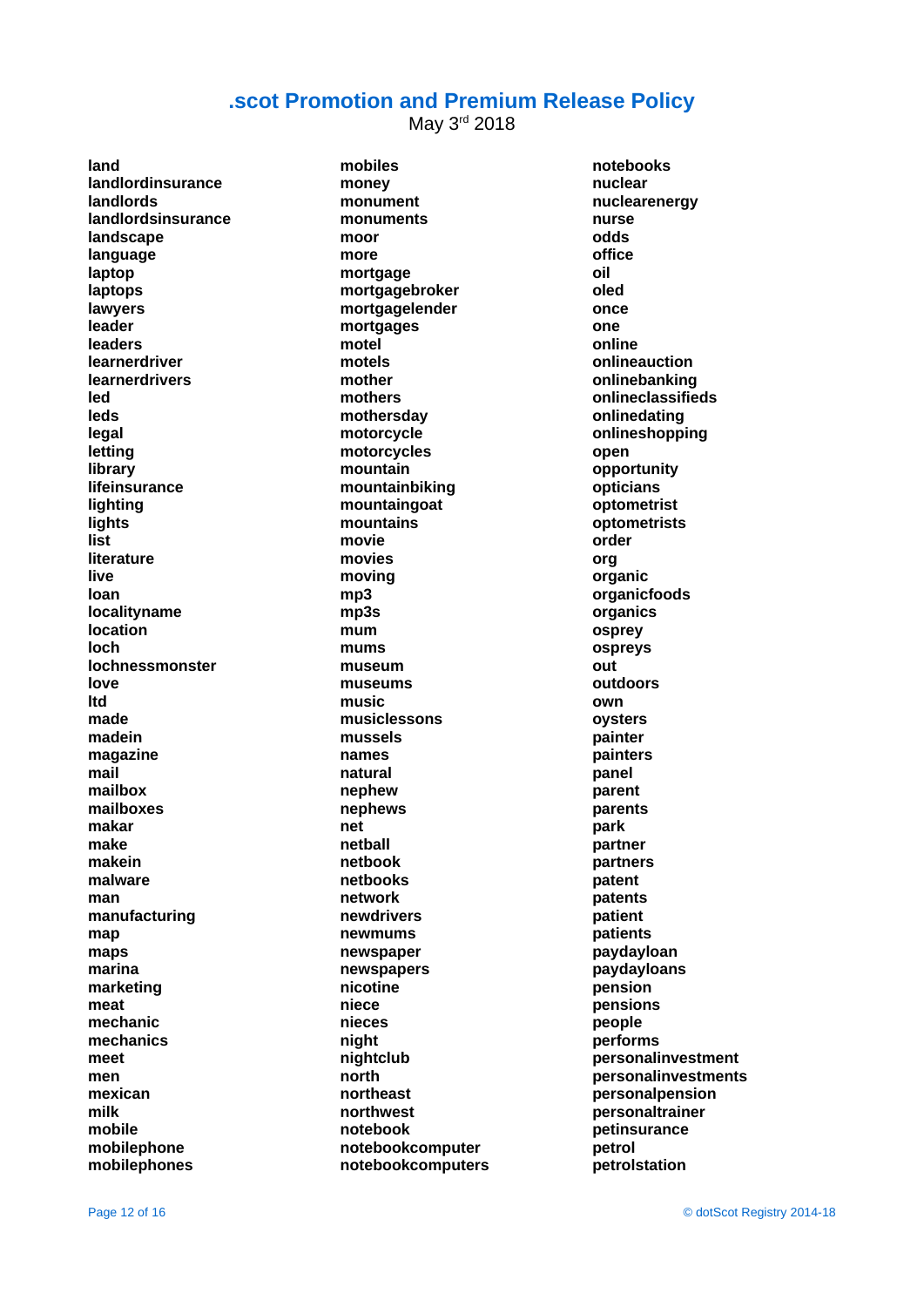May 3rd 2018

**land landlordinsurance landlords landlordsinsurance landscape language laptop laptops lawyers leader leaders learnerdriver learnerdrivers led leds legal letting library lifeinsurance lighting lights list literature live loan localityname location loch lochnessmonster love ltd made madein magazine mail mailbox mailboxes makar make makein malware man manufacturing map maps marina marketing meat mechanic mechanics meet men mexican milk mobile mobilephone mobilephones**

**mobiles money monument monuments moor more mortgage mortgagebroker mortgagelender mortgages motel motels mother mothers mothersday motorcycle motorcycles mountain mountainbiking mountaingoat mountains movie movies moving mp3 mp3s mum mums museum museums music musiclessons mussels names natural nephew nephews net netball netbook netbooks network newdrivers newmums newspaper newspapers nicotine niece nieces night nightclub north northeast northwest notebook notebookcomputer notebookcomputers** **notebooks nuclear nuclearenergy nurse odds office oil oled once one online onlineauction onlinebanking onlineclassifieds onlinedating onlineshopping open opportunity opticians optometrist optometrists order org organic organicfoods organics osprey ospreys out outdoors own oysters painter painters panel parent parents park partner partners patent patents patient patients paydayloan paydayloans pension pensions people performs personalinvestment personalinvestments personalpension personaltrainer petinsurance petrol petrolstation**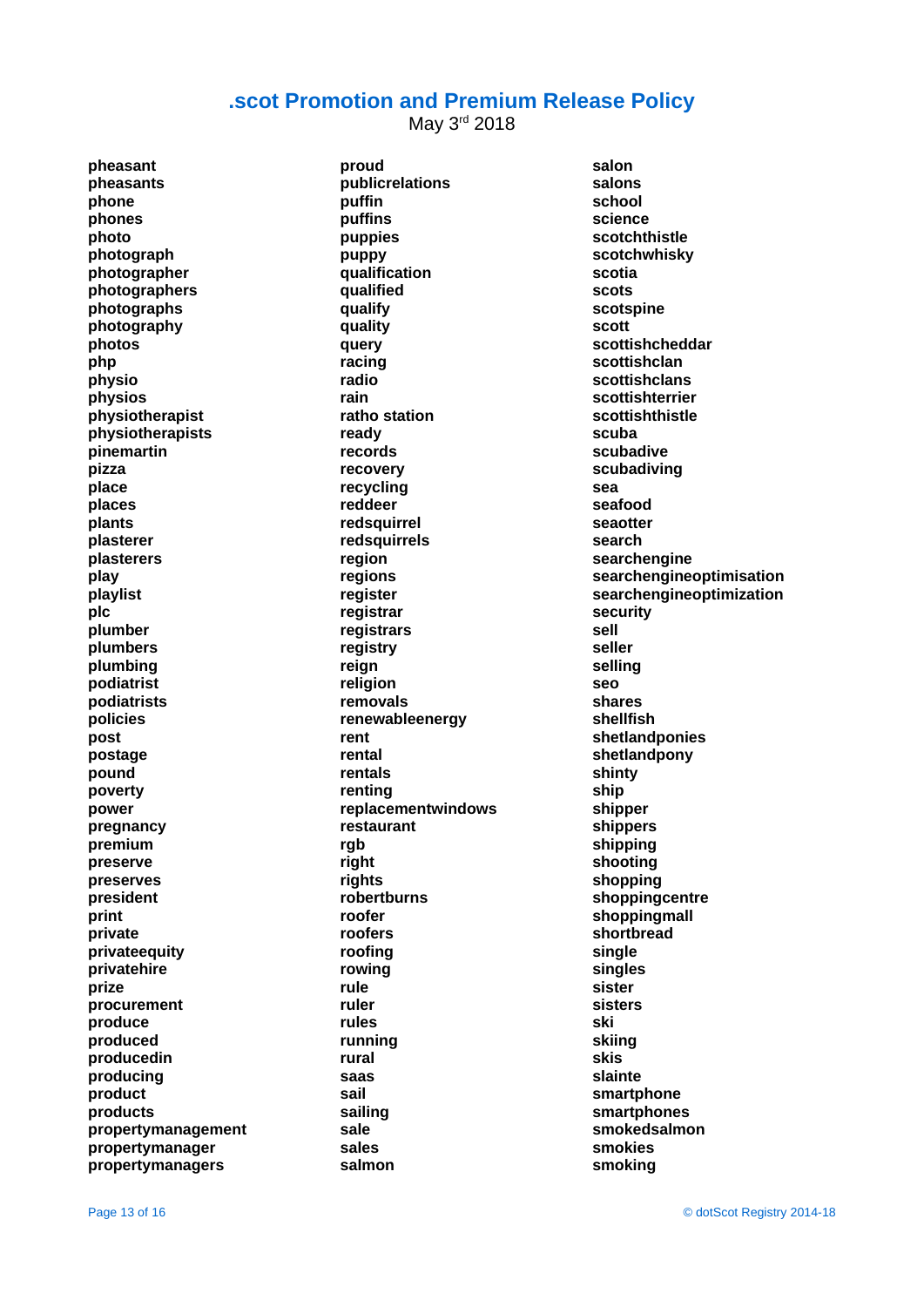May 3rd 2018

**pheasant pheasants phone phones photo photograph photographer photographers photographs photography photos php physio physios physiotherapist physiotherapists pinemartin pizza place places plants plasterer plasterers play playlist plc plumber plumbers plumbing podiatrist podiatrists policies post postage pound poverty power pregnancy premium preserve preserves president print private privateequity privatehire prize procurement produce produced producedin producing product products propertymanagement propertymanager propertymanagers**

**proud publicrelations puffin puffins puppies puppy qualification qualified qualify quality query racing radio rain ratho station ready records recovery recycling reddeer redsquirrel redsquirrels region regions register registrar registrars registry reign religion removals renewableenergy rent rental rentals renting replacementwindows restaurant rgb right rights robertburns roofer roofers roofing rowing rule ruler rules running rural saas sail sailing sale sales salmon**

**salon salons school science scotchthistle scotchwhisky scotia scots scotspine scott scottishcheddar scottishclan scottishclans scottishterrier scottishthistle scuba scubadive scubadiving sea seafood seaotter search searchengine searchengineoptimisation searchengineoptimization security sell seller selling seo shares shellfish shetlandponies shetlandpony shinty ship shipper shippers shipping shooting shopping shoppingcentre shoppingmall shortbread single singles sister sisters ski skiing skis slainte smartphone smartphones smokedsalmon smokies smoking**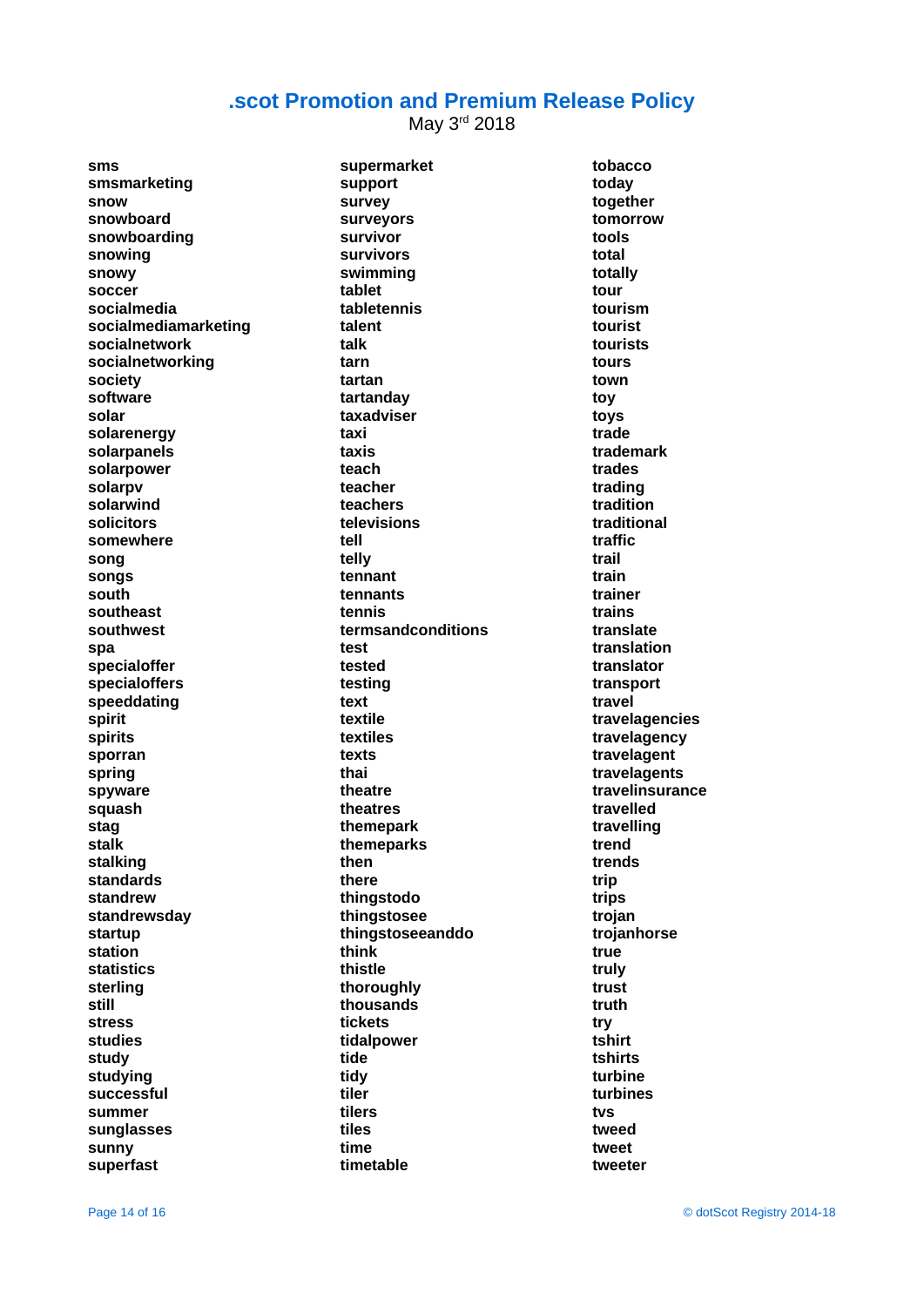May 3rd 2018

**sms smsmarketing snow snowboard snowboarding snowing snowy soccer socialmedia socialmediamarketing socialnetwork socialnetworking society software solar solarenergy solarpanels solarpower solarpv solarwind solicitors somewhere song songs south southeast southwest spa specialoffer specialoffers speeddating spirit spirits sporran spring spyware squash stag stalk stalking standards standrew standrewsday startup station statistics sterling still stress studies study studying successful summer sunglasses sunny superfast**

**supermarket support survey surveyors survivor survivors swimming tablet tabletennis talent talk tarn tartan tartanday taxadviser taxi taxis teach teacher teachers televisions tell telly tennant tennants tennis termsandconditions test tested testing text textile textiles texts thai theatre theatres themepark themeparks then there thingstodo thingstosee thingstoseeanddo think thistle thoroughly thousands tickets tidalpower tide tidy tiler tilers tiles time timetable**

**tobacco today together tomorrow tools total totally tour tourism tourist tourists tours town toy toys trade trademark trades trading tradition traditional traffic trail train trainer trains translate translation translator transport travel travelagencies travelagency travelagent travelagents travelinsurance travelled travelling trend trends trip trips trojan trojanhorse true truly trust truth try tshirt tshirts turbine turbines tvs tweed tweet tweeter**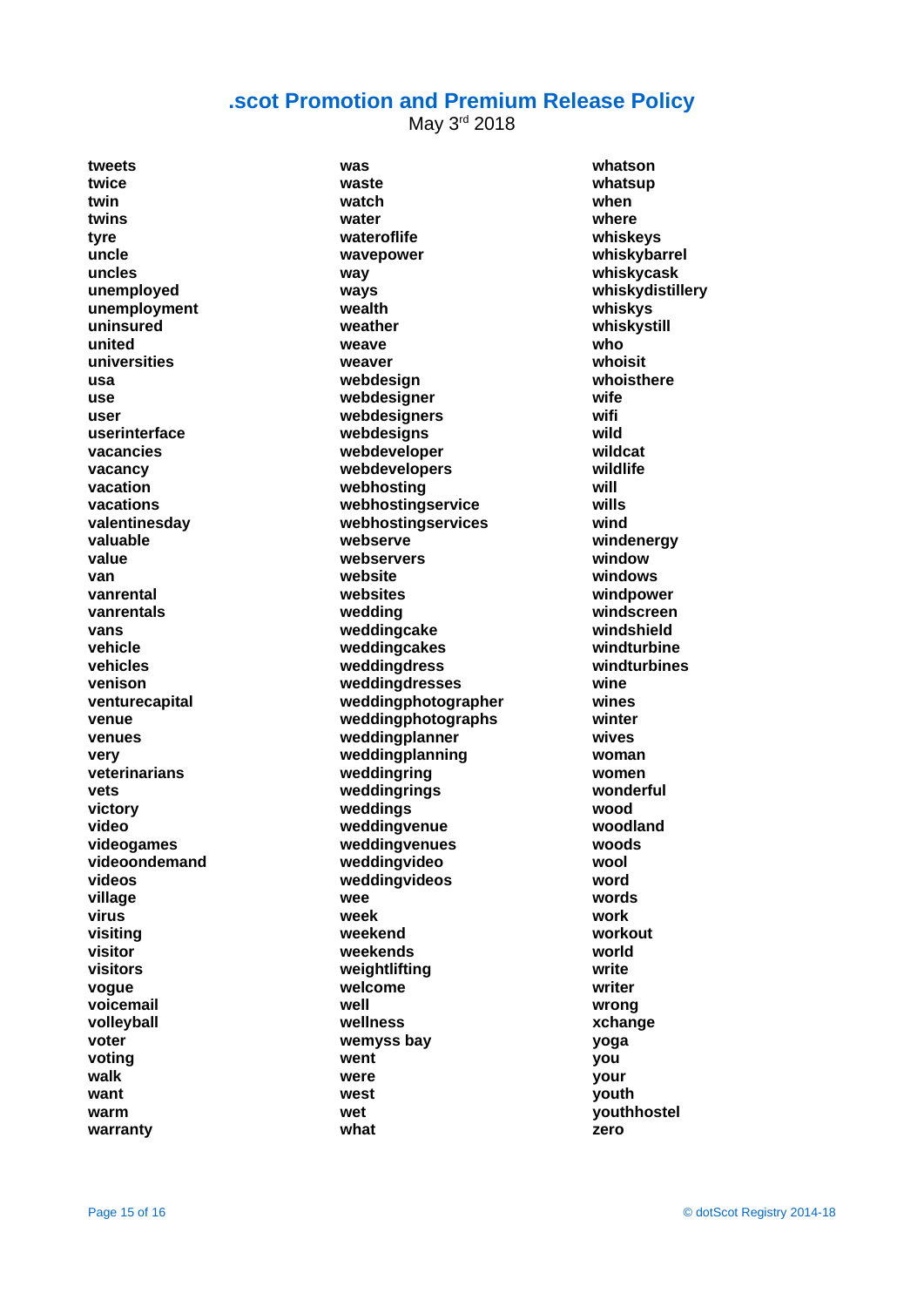May 3rd 2018

**tweets twice twin twins tyre uncle uncles unemployed unemployment uninsured united universities usa use user userinterface vacancies vacancy vacation vacations valentinesday valuable value van vanrental vanrentals vans vehicle vehicles venison venturecapital venue venues very veterinarians vets victory video videogames videoondemand videos village virus visiting visitor visitors vogue voicemail volleyball voter voting walk want warm warranty**

**was waste watch water wateroflife wavepower way ways wealth weather weave weaver webdesign webdesigner webdesigners webdesigns webdeveloper webdevelopers webhosting webhostingservice webhostingservices webserve webservers website websites wedding weddingcake weddingcakes weddingdress weddingdresses weddingphotographer weddingphotographs weddingplanner weddingplanning weddingring weddingrings weddings weddingvenue weddingvenues weddingvideo weddingvideos wee week weekend weekends weightlifting welcome well wellness wemyss bay went were west wet what**

**whatson whatsup when where whiskeys whiskybarrel whiskycask whiskydistillery whiskys whiskystill who whoisit whoisthere wife wifi wild wildcat wildlife will wills wind windenergy window windows windpower windscreen windshield windturbine windturbines wine wines winter wives woman women wonderful wood woodland woods wool word words work workout world write writer wrong xchange yoga you your youth youthhostel zero**